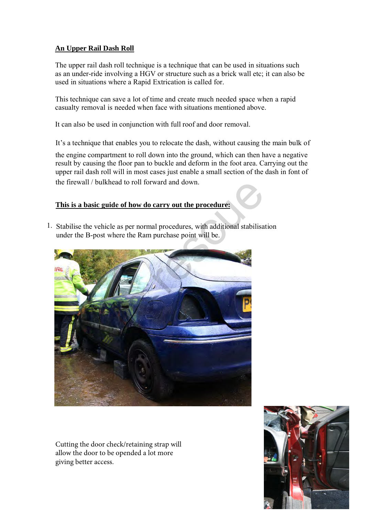## **An Upper Rail Dash Roll**

The upper rail dash roll technique is a technique that can be used in situations such as an under-ride involving a HGV or structure such as a brick wall etc; it can also be used in situations where a Rapid Extrication is called for.

This technique can save a lot of time and create much needed space when a rapid casualty removal is needed when face with situations mentioned above.

It can also be used in conjunction with full roof and door removal.

It's a technique that enables you to relocate the dash, without causing the main bulk of

the engine compartment to roll down into the ground, which can then have a negative result by causing the floor pan to buckle and deform in the foot area. Carrying out the upper rail dash roll will in most cases just enable a small section of the dash in font of the firewall / bulkhead to roll forward and down.

## **This is a basic guide of how do carry out the procedure:**

1. Stabilise the vehicle as per normal procedures, with additional stabilisation under the B-post where the Ram purchase point will be.



Cutting the door check/retaining strap will allow the door to be opended a lot more giving better access.

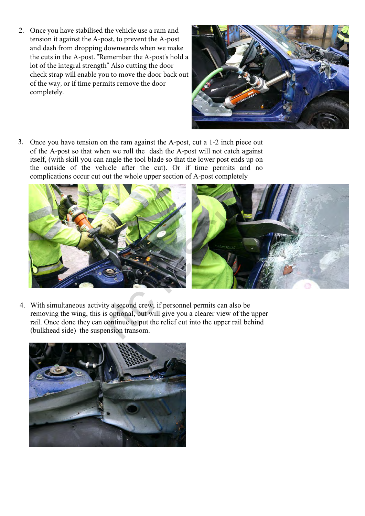Once you have stabilised the vehicle use a ram and 2. tension it against the A-post, to prevent the A-post and dash from dropping downwards when we make the cuts in the A-post. "Remember the A-post's hold a lot of the integral strength" Also cutting the door check strap will enable you to move the door back out of the way, or if time permits remove the door completely.



3. Once you have tension on the ram against the A-post, cut a 1-2 inch piece out of the A-post so that when we roll the dash the A-post will not catch against itself, (with skill you can angle the tool blade so that the lower post ends up on the outside of the vehicle after the cut). Or if time permits and no complications occur cut out the whole upper section of A-post completely



4. With simultaneous activity a second crew, if personnel permits can also be removing the wing, this is optional, but will give you a clearer view of the upper rail. Once done they can continue to put the relief cut into the upper rail behind (bulkhead side) the suspension transom.

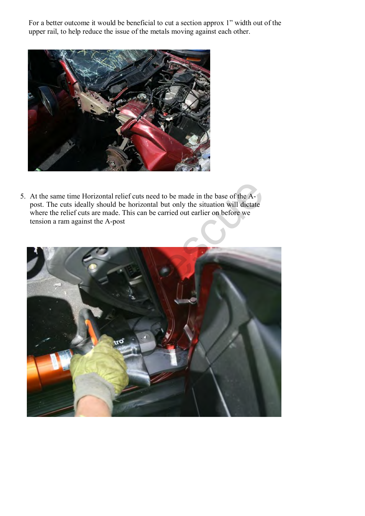For a better outcome it would be beneficial to cut a section approx 1" width out of the upper rail, to help reduce the issue of the metals moving against each other.



5. At the same time Horizontal relief cuts need to be made in the base of the Apost. The cuts ideally should be horizontal but only the situation will dictate where the relief cuts are made. This can be carried out earlier on before we tension a ram against the A-post

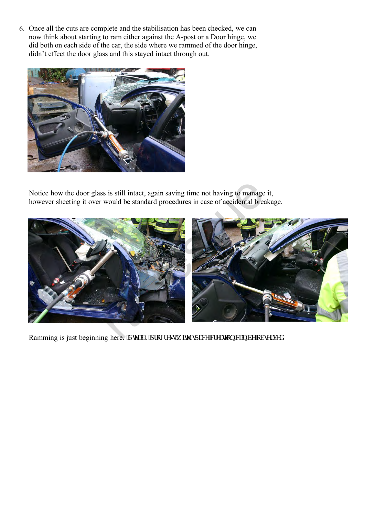6. Once all the cuts are complete and the stabilisation has been checked, we can now think about starting to ram either against the A-post or a Door hinge, we did both on each side of the car, the side where we rammed of the door hinge, didn't effect the door glass and this stayed intact through out.



Notice how the door glass is still intact, again saving time not having to manage it, however sheeting it over would be standard procedures in case of accidental breakage.



Ramming is just beginning here. "Ugef { "rtqi tguu"y kyj "ur ceg"etgcwkqp"ecp"dg"qdugtxgf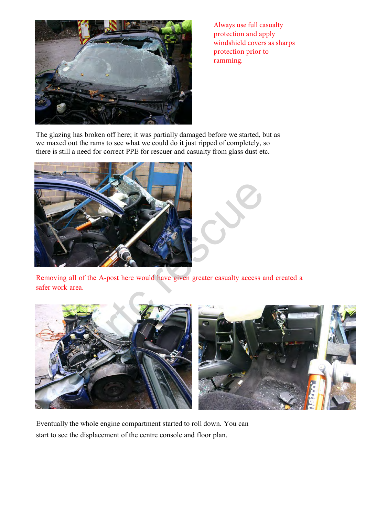

Always use full casualty protection and apply windshield covers as sharps protection prior to ramming.

The glazing has broken off here; it was partially damaged before we started, but as we maxed out the rams to see what we could do it just ripped of completely, so there is still a need for correct PPE for rescuer and casualty from glass dust etc.



Removing all of the A-post here would have given greater casualty access and created a safer work area.



Eventually the whole engine compartment started to roll down. You can start to see the displacement of the centre console and floor plan.